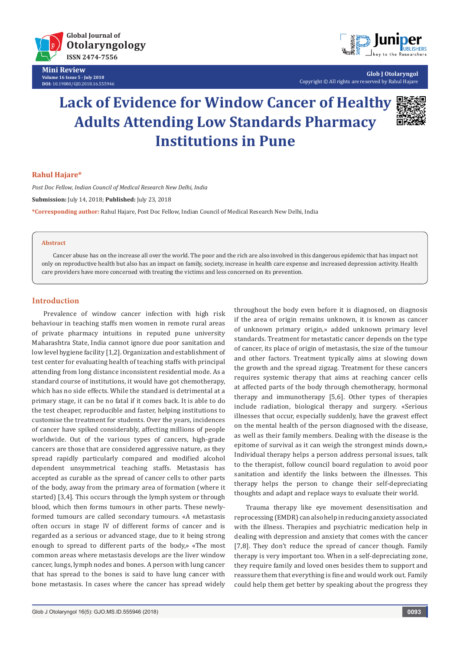

**Mini Review Volume 16 Issue 5 - July 2018 DOI:** [10.19080/GJO.2018.16.555946](http://http://dx.doi.org/10.19080/GJO.2018.16.555946)



**Glob J Otolaryngol** Copyright © All rights are reserved by Rahul Hajare

# **Lack of Evidence for Window Cancer of Healthy Adults Attending Low Standards Pharmacy Institutions in Pune**



## **Rahul Hajare\***

*Post Doc Fellow, Indian Council of Medical Research New Delhi, India* **Submission:** July 14, 2018; **Published:** July 23, 2018 **\*Corresponding author:** Rahul Hajare, Post Doc Fellow, Indian Council of Medical Research New Delhi, India

#### **Abstract**

Cancer abuse has on the increase all over the world. The poor and the rich are also involved in this dangerous epidemic that has impact not only on reproductive health but also has an impact on family, society, increase in health care expense and increased depression activity. Health care providers have more concerned with treating the victims and less concerned on its prevention.

## **Introduction**

Prevalence of window cancer infection with high risk behaviour in teaching staffs men women in remote rural areas of private pharmacy intuitions in reputed pune university Maharashtra State, India cannot ignore due poor sanitation and low level hygiene facility [1,2]. Organization and establishment of test center for evaluating health of teaching staffs with principal attending from long distance inconsistent residential mode. As a standard course of institutions, it would have got chemotherapy, which has no side effects. While the standard is detrimental at a primary stage, it can be no fatal if it comes back. It is able to do the test cheaper, reproducible and faster, helping institutions to customise the treatment for students. Over the years, incidences of cancer have spiked considerably, affecting millions of people worldwide. Out of the various types of cancers, high-grade cancers are those that are considered aggressive nature, as they spread rapidly particularly compared and modified alcohol dependent unsymmetrical teaching staffs. Metastasis has accepted as curable as the spread of cancer cells to other parts of the body, away from the primary area of formation (where it started) [3,4]. This occurs through the lymph system or through blood, which then forms tumours in other parts. These newlyformed tumours are called secondary tumours. «A metastasis often occurs in stage IV of different forms of cancer and is regarded as a serious or advanced stage, due to it being strong enough to spread to different parts of the body,» «The most common areas where metastasis develops are the liver window cancer, lungs, lymph nodes and bones. A person with lung cancer that has spread to the bones is said to have lung cancer with bone metastasis. In cases where the cancer has spread widely throughout the body even before it is diagnosed, on diagnosis if the area of origin remains unknown, it is known as cancer of unknown primary origin,» added unknown primary level standards. Treatment for metastatic cancer depends on the type of cancer, its place of origin of metastasis, the size of the tumour and other factors. Treatment typically aims at slowing down the growth and the spread zigzag. Treatment for these cancers requires systemic therapy that aims at reaching cancer cells at affected parts of the body through chemotherapy, hormonal therapy and immunotherapy [5,6]. Other types of therapies include radiation, biological therapy and surgery. «Serious illnesses that occur, especially suddenly, have the gravest effect on the mental health of the person diagnosed with the disease, as well as their family members. Dealing with the disease is the epitome of survival as it can weigh the strongest minds down,» Individual therapy helps a person address personal issues, talk to the therapist, follow council board regulation to avoid poor sanitation and identify the links between the illnesses. This therapy helps the person to change their self-depreciating thoughts and adapt and replace ways to evaluate their world.

Trauma therapy like eye movement desensitisation and reprocessing (EMDR) can also help in reducing anxiety associated with the illness. Therapies and psychiatric medication help in dealing with depression and anxiety that comes with the cancer [7,8]. They don't reduce the spread of cancer though. Family therapy is very important too. When in a self-depreciating zone, they require family and loved ones besides them to support and reassure them that everything is fine and would work out. Family could help them get better by speaking about the progress they